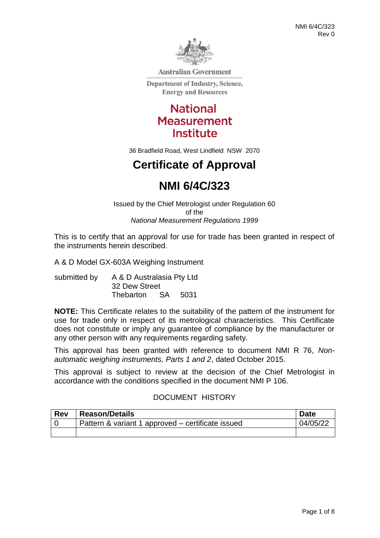

**Australian Government** 

**Department of Industry, Science, Energy and Resources** 

> **National Measurement Institute**

36 Bradfield Road, West Lindfield NSW 2070

# **Certificate of Approval**

# **NMI 6/4C/323**

Issued by the Chief Metrologist under Regulation 60 of the *National Measurement Regulations 1999*

This is to certify that an approval for use for trade has been granted in respect of the instruments herein described.

A & D Model GX-603A Weighing Instrument

submitted by A & D Australasia Pty Ltd 32 Dew Street Thebarton SA 5031

**NOTE:** This Certificate relates to the suitability of the pattern of the instrument for use for trade only in respect of its metrological characteristics. This Certificate does not constitute or imply any guarantee of compliance by the manufacturer or any other person with any requirements regarding safety.

This approval has been granted with reference to document NMI R 76, *Nonautomatic weighing instruments, Parts 1 and 2*, dated October 2015.

This approval is subject to review at the decision of the Chief Metrologist in accordance with the conditions specified in the document NMI P 106.

# DOCUMENT HISTORY

| <b>Rev</b> | <b>Reason/Details</b>                             | <b>Date</b> |
|------------|---------------------------------------------------|-------------|
|            | Pattern & variant 1 approved – certificate issued | 04/05/22    |
|            |                                                   |             |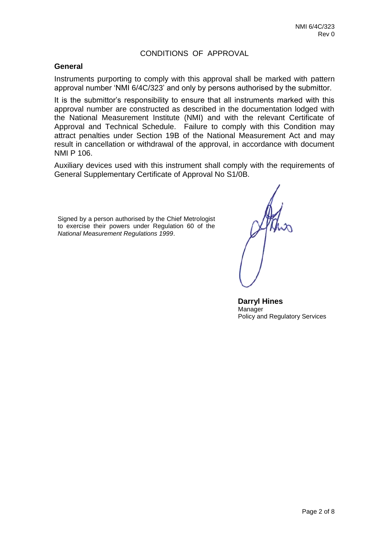# CONDITIONS OF APPROVAL

#### **General**

Instruments purporting to comply with this approval shall be marked with pattern approval number 'NMI 6/4C/323' and only by persons authorised by the submittor.

It is the submittor's responsibility to ensure that all instruments marked with this approval number are constructed as described in the documentation lodged with the National Measurement Institute (NMI) and with the relevant Certificate of Approval and Technical Schedule. Failure to comply with this Condition may attract penalties under Section 19B of the National Measurement Act and may result in cancellation or withdrawal of the approval, in accordance with document NMI P 106.

Auxiliary devices used with this instrument shall comply with the requirements of General Supplementary Certificate of Approval No S1/0B.

Signed by a person authorised by the Chief Metrologist to exercise their powers under Regulation 60 of the *National Measurement Regulations 1999*.

 **Darryl Hines** Manager Policy and Regulatory Services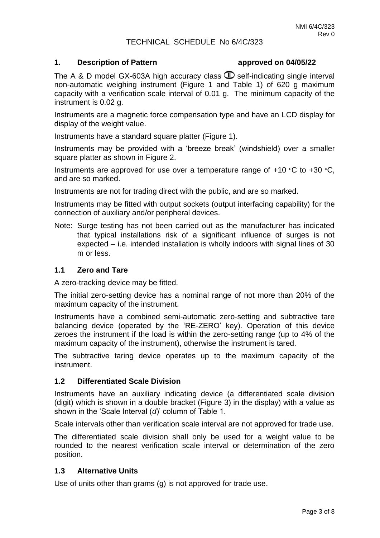### TECHNICAL SCHEDULE No 6/4C/323

#### **1. Description of Pattern approved on 04/05/22**

The A & D model GX-603A high accuracy class  $\mathbb D$  self-indicating single interval non-automatic weighing instrument (Figure 1 and Table 1) of 620 g maximum capacity with a verification scale interval of 0.01 g. The minimum capacity of the instrument is 0.02 g.

Instruments are a magnetic force compensation type and have an LCD display for display of the weight value.

Instruments have a standard square platter (Figure 1).

Instruments may be provided with a 'breeze break' (windshield) over a smaller square platter as shown in Figure 2.

Instruments are approved for use over a temperature range of  $+10$  °C to  $+30$  °C, and are so marked.

Instruments are not for trading direct with the public, and are so marked.

Instruments may be fitted with output sockets (output interfacing capability) for the connection of auxiliary and/or peripheral devices.

Note: Surge testing has not been carried out as the manufacturer has indicated that typical installations risk of a significant influence of surges is not expected – i.e. intended installation is wholly indoors with signal lines of 30 m or less.

#### **1.1 Zero and Tare**

A zero-tracking device may be fitted.

The initial zero-setting device has a nominal range of not more than 20% of the maximum capacity of the instrument.

Instruments have a combined semi-automatic zero-setting and subtractive tare balancing device (operated by the 'RE-ZERO' key). Operation of this device zeroes the instrument if the load is within the zero-setting range (up to 4% of the maximum capacity of the instrument), otherwise the instrument is tared.

The subtractive taring device operates up to the maximum capacity of the instrument.

### **1.2 Differentiated Scale Division**

Instruments have an auxiliary indicating device (a differentiated scale division (digit) which is shown in a double bracket (Figure 3) in the display) with a value as shown in the 'Scale Interval (*d*)' column of Table 1.

Scale intervals other than verification scale interval are not approved for trade use.

The differentiated scale division shall only be used for a weight value to be rounded to the nearest verification scale interval or determination of the zero position.

### **1.3 Alternative Units**

Use of units other than grams (g) is not approved for trade use.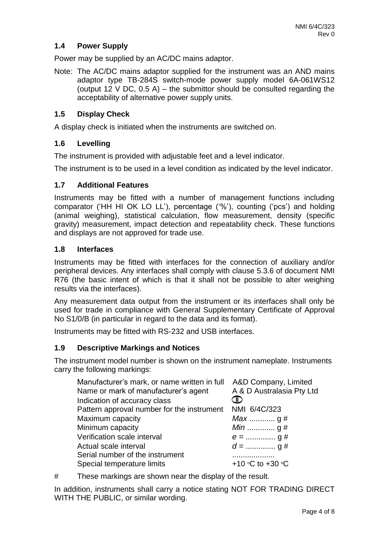# **1.4 Power Supply**

Power may be supplied by an AC/DC mains adaptor.

Note: The AC/DC mains adaptor supplied for the instrument was an AND mains adaptor type TB-284S switch-mode power supply model 6A-061WS12 (output 12 V DC,  $0.5$  A) – the submittor should be consulted regarding the acceptability of alternative power supply units.

### **1.5 Display Check**

A display check is initiated when the instruments are switched on.

#### **1.6 Levelling**

The instrument is provided with adjustable feet and a level indicator.

The instrument is to be used in a level condition as indicated by the level indicator.

#### **1.7 Additional Features**

Instruments may be fitted with a number of management functions including comparator ('HH HI OK LO LL'), percentage ('%'), counting ('pcs') and holding (animal weighing), statistical calculation, flow measurement, density (specific gravity) measurement, impact detection and repeatability check. These functions and displays are not approved for trade use.

#### **1.8 Interfaces**

Instruments may be fitted with interfaces for the connection of auxiliary and/or peripheral devices. Any interfaces shall comply with clause 5.3.6 of document NMI R76 (the basic intent of which is that it shall not be possible to alter weighing results via the interfaces).

Any measurement data output from the instrument or its interfaces shall only be used for trade in compliance with General Supplementary Certificate of Approval No S1/0/B (in particular in regard to the data and its format).

Instruments may be fitted with RS-232 and USB interfaces.

#### **1.9 Descriptive Markings and Notices**

The instrument model number is shown on the instrument nameplate. Instruments carry the following markings:

| Manufacturer's mark, or name written in full A&D Company, Limited<br>Name or mark of manufacturer's agent | A & D Australasia Pty Ltd      |
|-----------------------------------------------------------------------------------------------------------|--------------------------------|
| Indication of accuracy class                                                                              |                                |
| Pattern approval number for the instrument                                                                | NMI 6/4C/323                   |
| Maximum capacity                                                                                          | <i>Max</i> g#                  |
| Minimum capacity                                                                                          |                                |
| Verification scale interval                                                                               |                                |
| Actual scale interval                                                                                     |                                |
| Serial number of the instrument                                                                           |                                |
| Special temperature limits                                                                                | +10 $\circ$ C to +30 $\circ$ C |

# These markings are shown near the display of the result.

In addition, instruments shall carry a notice stating NOT FOR TRADING DIRECT WITH THE PUBLIC, or similar wording.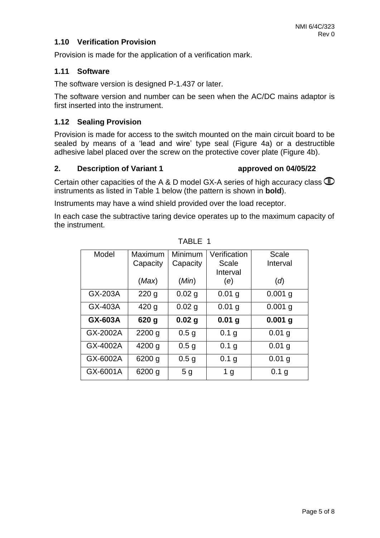## **1.10 Verification Provision**

Provision is made for the application of a verification mark.

#### **1.11 Software**

The software version is designed P-1.437 or later.

The software version and number can be seen when the AC/DC mains adaptor is first inserted into the instrument.

#### **1.12 Sealing Provision**

Provision is made for access to the switch mounted on the main circuit board to be sealed by means of a 'lead and wire' type seal (Figure 4a) or a destructible adhesive label placed over the screw on the protective cover plate (Figure 4b).

#### **2. Description of Variant 1 approved on 04/05/22**

Certain other capacities of the A & D model GX-A series of high accuracy class  $\mathbb D$ instruments as listed in Table 1 below (the pattern is shown in **bold**).

Instruments may have a wind shield provided over the load receptor.

In each case the subtractive taring device operates up to the maximum capacity of the instrument.

| Model    | Maximum          | Minimum          | Verification      | Scale             |
|----------|------------------|------------------|-------------------|-------------------|
|          | Capacity         | Capacity         | Scale             | Interval          |
|          |                  |                  | Interval          |                   |
|          | (Max)            | (Min)            | (e)               | (d)               |
| GX-203A  | 220 <sub>g</sub> | 0.02 g           | $0.01$ g          | $0.001$ g         |
| GX-403A  | 420 <sub>g</sub> | $0.02$ g         | $0.01$ g          | $0.001$ g         |
| GX-603A  | 620 g            | $0.02$ g         | 0.01 <sub>g</sub> | $0.001$ g         |
| GX-2002A | $2200$ g         | 0.5 <sub>g</sub> | 0.1 g             | $0.01$ g          |
| GX-4002A | 4200 g           | 0.5 <sub>g</sub> | 0.1 <sub>g</sub>  | 0.01 <sub>q</sub> |
| GX-6002A | 6200 g           | 0.5 <sub>g</sub> | 0.1 g             | $0.01$ g          |
| GX-6001A | 6200 g           | 5 <sub>q</sub>   | 1 <sub>g</sub>    | 0.1 <sub>g</sub>  |

TABLE 1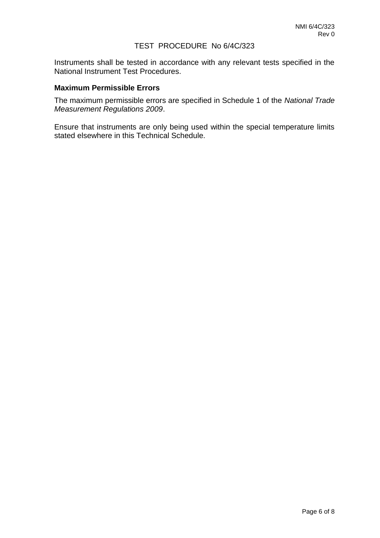#### TEST PROCEDURE No 6/4C/323

Instruments shall be tested in accordance with any relevant tests specified in the National Instrument Test Procedures.

#### **Maximum Permissible Errors**

The maximum permissible errors are specified in Schedule 1 of the *National Trade Measurement Regulations 2009*.

Ensure that instruments are only being used within the special temperature limits stated elsewhere in this Technical Schedule.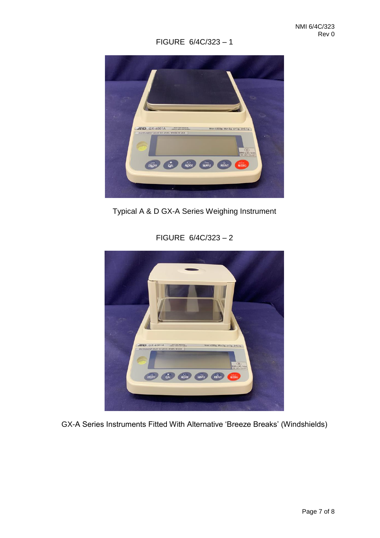# FIGURE 6/4C/323 – 1



Typical A & D GX-A Series Weighing Instrument

FIGURE 6/4C/323 – 2



GX-A Series Instruments Fitted With Alternative 'Breeze Breaks' (Windshields)